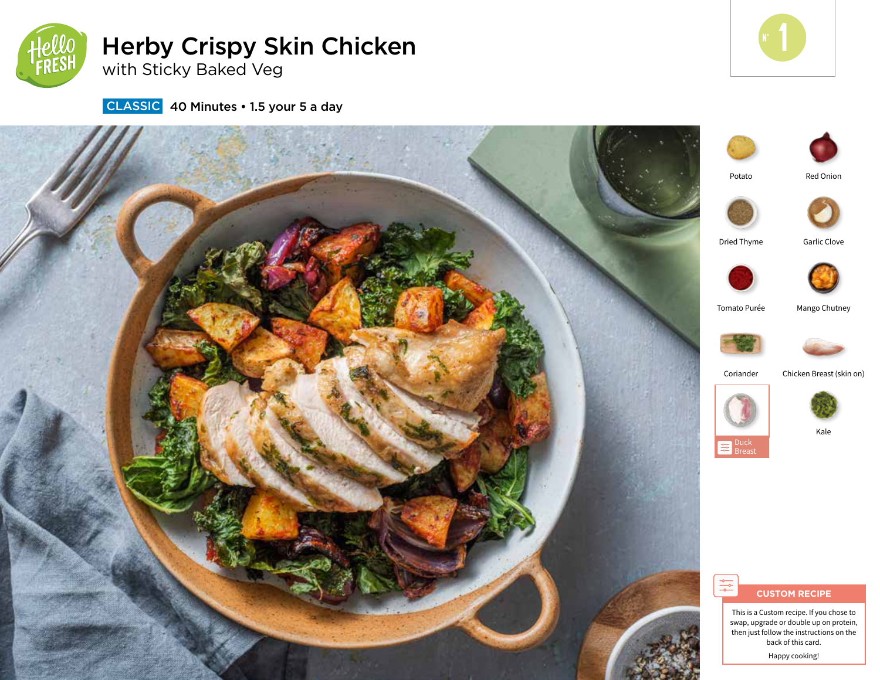

Herby Crispy Skin Chicken with Sticky Baked Veg



**CLASSIC** 40 Minutes • 1.5 your 5 a day